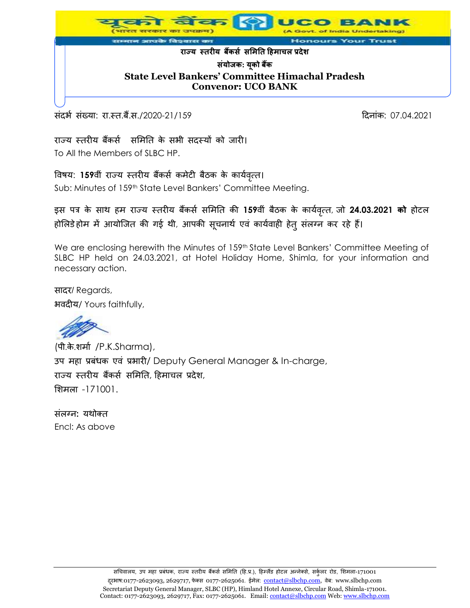

संदर्भ संख्या: रा.स्त.बैं.स./2020-21/159 हिंदी का संस्था कर संस्था कर विनांक: 07.04.2021

राज्य स्तरीय बैंकर्स समिति के सभी सदस्यों को जारी। To All the Members of SLBC HP.

विषय: 159वीं राज्य स्तरीय बैंकर्स कमेटी बैठक के कार्यवृत्त।

Sub: Minutes of 159<sup>th</sup> State Level Bankers' Committee Meeting.

इस पत्र के साथ हम राज्य स्तरीय बैंकर्स समिति की 159वीं बैठक के कार्यवृत्त, जो 24.03.2021 को होटल होलिडेहोम में आयोजित की गई थी, आपकी सूचनार्थ एवं कार्यवाही हेत् संलग्न कर रहे हैं।

We are enclosing herewith the Minutes of 159<sup>th</sup> State Level Bankers' Committee Meeting of SLBC HP held on 24.03.2021, at Hotel Holiday Home, Shimla, for your information and necessary action.

सादर/ Regards, भवदीय/ Yours faithfully,

(पी.के.िमास /P.K.Sharma), उप महा प्रबंधक एवं प्रभारी/ Deputy General Manager & In-charge, राज्य स्तरीय बैंकर्स समिति, हिमाचल प्रदेश, मिमला -171001.

संलग्न: यथोक्त Encl: As above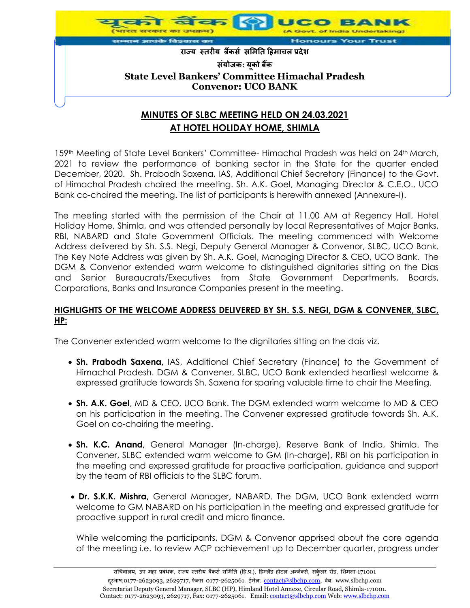

# **MINUTES OF SLBC MEETING HELD ON 24.03.2021 AT HOTEL HOLIDAY HOME, SHIMLA**

159th Meeting of State Level Bankers' Committee- Himachal Pradesh was held on 24th March, 2021 to review the performance of banking sector in the State for the quarter ended December, 2020. Sh. Prabodh Saxena, IAS, Additional Chief Secretary (Finance) to the Govt. of Himachal Pradesh chaired the meeting. Sh. A.K. Goel, Managing Director & C.E.O., UCO Bank co-chaired the meeting. The list of participants is herewith annexed (Annexure-I).

The meeting started with the permission of the Chair at 11.00 AM at Regency Hall, Hotel Holiday Home, Shimla, and was attended personally by local Representatives of Major Banks, RBI, NABARD and State Government Officials. The meeting commenced with Welcome Address delivered by Sh. S.S. Negi, Deputy General Manager & Convenor, SLBC, UCO Bank. The Key Note Address was given by Sh. A.K. Goel, Managing Director & CEO, UCO Bank. The DGM & Convenor extended warm welcome to distinguished dignitaries sitting on the Dias and Senior Bureaucrats/Executives from State Government Departments, Boards, Corporations, Banks and Insurance Companies present in the meeting.

### **HIGHLIGHTS OF THE WELCOME ADDRESS DELIVERED BY SH. S.S. NEGI, DGM & CONVENER, SLBC, HP:**

The Convener extended warm welcome to the dignitaries sitting on the dais viz.

- **Sh. Prabodh Saxena,** IAS, Additional Chief Secretary (Finance) to the Government of Himachal Pradesh. DGM & Convener, SLBC, UCO Bank extended heartiest welcome & expressed gratitude towards Sh. Saxena for sparing valuable time to chair the Meeting.
- **Sh. A.K. Goel**, MD & CEO, UCO Bank. The DGM extended warm welcome to MD & CEO on his participation in the meeting. The Convener expressed gratitude towards Sh. A.K. Goel on co-chairing the meeting.
- **Sh. K.C. Anand,** General Manager (In-charge), Reserve Bank of India, Shimla. The Convener, SLBC extended warm welcome to GM (In-charge), RBI on his participation in the meeting and expressed gratitude for proactive participation, guidance and support by the team of RBI officials to the SLBC forum.
- **Dr. S.K.K. Mishra,** General Manager**,** NABARD. The DGM, UCO Bank extended warm welcome to GM NABARD on his participation in the meeting and expressed gratitude for proactive support in rural credit and micro finance.

While welcoming the participants, DGM & Convenor apprised about the core agenda of the meeting i.e. to review ACP achievement up to December quarter, progress under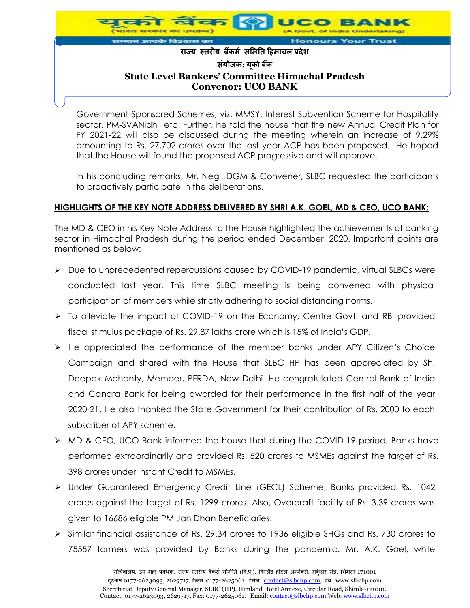

Government Sponsored Schemes, viz. MMSY, Interest Subvention Scheme for Hospitality sector, PM-SVANidhi, etc. Further, he told the house that the new Annual Credit Plan for FY 2021-22 will also be discussed during the meeting wherein an increase of 9.29% amounting to Rs. 27,702 crores over the last year ACP has been proposed. He hoped that the House will found the proposed ACP progressive and will approve.

In his concluding remarks, Mr. Negi, DGM & Convener, SLBC requested the participants to proactively participate in the deliberations.

## **HIGHLIGHTS OF THE KEY NOTE ADDRESS DELIVERED BY SHRI A.K. GOEL, MD & CEO, UCO BANK:**

The MD & CEO in his Key Note Address to the House highlighted the achievements of banking sector in Himachal Pradesh during the period ended December, 2020. Important points are mentioned as below:

- Due to unprecedented repercussions caused by COVID-19 pandemic, virtual SLBCs were conducted last year. This time SLBC meeting is being convened with physical participation of members while strictly adhering to social distancing norms.
- To alleviate the impact of COVID-19 on the Economy, Centre Govt. and RBI provided fiscal stimulus package of Rs. 29.87 lakhs crore which is 15% of India's GDP.
- He appreciated the performance of the member banks under APY Citizen's Choice Campaign and shared with the House that SLBC HP has been appreciated by Sh. Deepak Mohanty, Member, PFRDA, New Delhi. He congratulated Central Bank of India and Canara Bank for being awarded for their performance in the first half of the year 2020-21. He also thanked the State Government for their contribution of Rs. 2000 to each subscriber of APY scheme.
- MD & CEO, UCO Bank informed the house that during the COVID-19 period, Banks have performed extraordinarily and provided Rs. 520 crores to MSMEs against the target of Rs. 398 crores under Instant Credit to MSMEs.
- Under Guaranteed Emergency Credit Line (GECL) Scheme, Banks provided Rs. 1042 crores against the target of Rs. 1299 crores. Also, Overdraft facility of Rs. 3.39 crores was given to 16686 eligible PM Jan Dhan Beneficiaries.
- $\triangleright$  Similar financial assistance of Rs. 29.34 crores to 1936 eligible SHGs and Rs. 730 crores to 75557 farmers was provided by Banks during the pandemic. Mr. A.K. Goel, while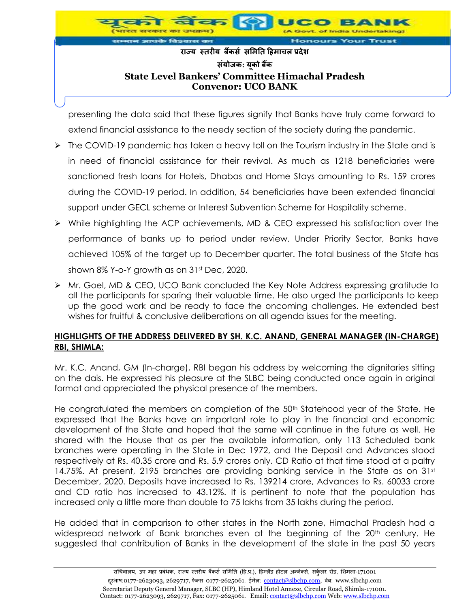

presenting the data said that these figures signify that Banks have truly come forward to extend financial assistance to the needy section of the society during the pandemic.

- $\triangleright$  The COVID-19 pandemic has taken a heavy toll on the Tourism industry in the State and is in need of financial assistance for their revival. As much as 1218 beneficiaries were sanctioned fresh loans for Hotels, Dhabas and Home Stays amounting to Rs. 159 crores during the COVID-19 period. In addition, 54 beneficiaries have been extended financial support under GECL scheme or Interest Subvention Scheme for Hospitality scheme.
- While highlighting the ACP achievements, MD & CEO expressed his satisfaction over the performance of banks up to period under review. Under Priority Sector, Banks have achieved 105% of the target up to December quarter. The total business of the State has shown 8% Y-o-Y growth as on 31<sup>st</sup> Dec, 2020.
- Mr. Goel, MD & CEO, UCO Bank concluded the Key Note Address expressing gratitude to all the participants for sparing their valuable time. He also urged the participants to keep up the good work and be ready to face the oncoming challenges. He extended best wishes for fruitful & conclusive deliberations on all agenda issues for the meeting.

### **HIGHLIGHTS OF THE ADDRESS DELIVERED BY SH. K.C. ANAND, GENERAL MANAGER (IN-CHARGE) RBI, SHIMLA:**

Mr. K.C. Anand, GM (In-charge), RBI began his address by welcoming the dignitaries sitting on the dais. He expressed his pleasure at the SLBC being conducted once again in original format and appreciated the physical presence of the members.

He congratulated the members on completion of the 50<sup>th</sup> Statehood year of the State. He expressed that the Banks have an important role to play in the financial and economic development of the State and hoped that the same will continue in the future as well. He shared with the House that as per the available information, only 113 Scheduled bank branches were operating in the State in Dec 1972, and the Deposit and Advances stood respectively at Rs. 40.35 crore and Rs. 5.9 crores only. CD Ratio at that time stood at a paltry 14.75%. At present, 2195 branches are providing banking service in the State as on  $31<sup>st</sup>$ December, 2020. Deposits have increased to Rs. 139214 crore, Advances to Rs. 60033 crore and CD ratio has increased to 43.12%. It is pertinent to note that the population has increased only a little more than double to 75 lakhs from 35 lakhs during the period.

He added that in comparison to other states in the North zone, Himachal Pradesh had a widespread network of Bank branches even at the beginning of the 20<sup>th</sup> century. He suggested that contribution of Banks in the development of the state in the past 50 years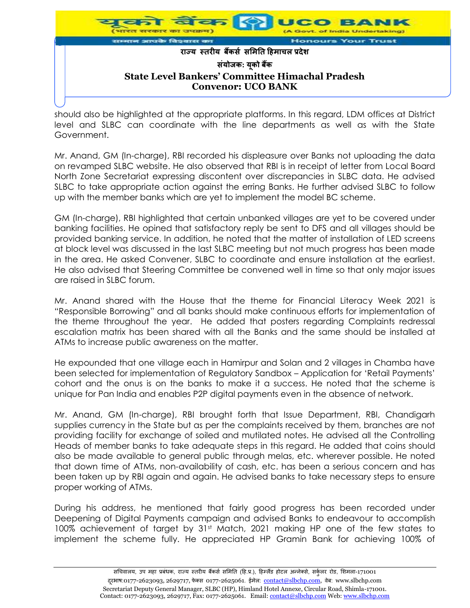

should also be highlighted at the appropriate platforms. In this regard, LDM offices at District level and SLBC can coordinate with the line departments as well as with the State Government.

Mr. Anand, GM (In-charge), RBI recorded his displeasure over Banks not uploading the data on revamped SLBC website. He also observed that RBI is in receipt of letter from Local Board North Zone Secretariat expressing discontent over discrepancies in SLBC data. He advised SLBC to take appropriate action against the erring Banks. He further advised SLBC to follow up with the member banks which are yet to implement the model BC scheme.

GM (In-charge), RBI highlighted that certain unbanked villages are yet to be covered under banking facilities. He opined that satisfactory reply be sent to DFS and all villages should be provided banking service. In addition, he noted that the matter of installation of LED screens at block level was discussed in the last SLBC meeting but not much progress has been made in the area. He asked Convener, SLBC to coordinate and ensure installation at the earliest. He also advised that Steering Committee be convened well in time so that only major issues are raised in SLBC forum.

Mr. Anand shared with the House that the theme for Financial Literacy Week 2021 is "Responsible Borrowing" and all banks should make continuous efforts for implementation of the theme throughout the year. He added that posters regarding Complaints redressal escalation matrix has been shared with all the Banks and the same should be installed at ATMs to increase public awareness on the matter.

He expounded that one village each in Hamirpur and Solan and 2 villages in Chamba have been selected for implementation of Regulatory Sandbox – Application for 'Retail Payments' cohort and the onus is on the banks to make it a success. He noted that the scheme is unique for Pan India and enables P2P digital payments even in the absence of network.

Mr. Anand, GM (In-charge), RBI brought forth that Issue Department, RBI, Chandigarh supplies currency in the State but as per the complaints received by them, branches are not providing facility for exchange of soiled and mutilated notes. He advised all the Controlling Heads of member banks to take adequate steps in this regard. He added that coins should also be made available to general public through melas, etc. wherever possible. He noted that down time of ATMs, non-availability of cash, etc. has been a serious concern and has been taken up by RBI again and again. He advised banks to take necessary steps to ensure proper working of ATMs.

During his address, he mentioned that fairly good progress has been recorded under Deepening of Digital Payments campaign and advised Banks to endeavour to accomplish 100% achievement of target by 31st Match, 2021 making HP one of the few states to implement the scheme fully. He appreciated HP Gramin Bank for achieving 100% of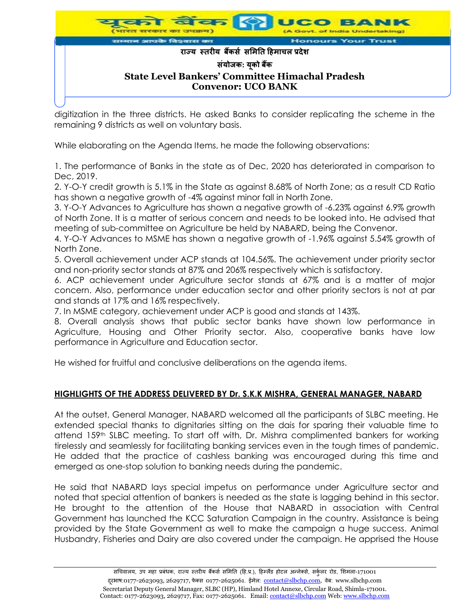

digitization in the three districts. He asked Banks to consider replicating the scheme in the remaining 9 districts as well on voluntary basis.

While elaborating on the Agenda Items, he made the following observations:

1. The performance of Banks in the state as of Dec, 2020 has deteriorated in comparison to Dec, 2019.

2. Y-O-Y credit growth is 5.1% in the State as against 8.68% of North Zone; as a result CD Ratio has shown a negative growth of -4% against minor fall in North Zone.

3. Y-O-Y Advances to Agriculture has shown a negative growth of -6.23% against 6.9% growth of North Zone. It is a matter of serious concern and needs to be looked into. He advised that meeting of sub-committee on Agriculture be held by NABARD, being the Convenor.

4. Y-O-Y Advances to MSME has shown a negative growth of -1.96% against 5.54% growth of North Zone.

5. Overall achievement under ACP stands at 104.56%. The achievement under priority sector and non-priority sector stands at 87% and 206% respectively which is satisfactory.

6. ACP achievement under Agriculture sector stands at 67% and is a matter of major concern. Also, performance under education sector and other priority sectors is not at par and stands at 17% and 16% respectively.

7. In MSME category, achievement under ACP is good and stands at 143%.

8. Overall analysis shows that public sector banks have shown low performance in Agriculture, Housing and Other Priority sector. Also, cooperative banks have low performance in Agriculture and Education sector.

He wished for fruitful and conclusive deliberations on the agenda items.

### **HIGHLIGHTS OF THE ADDRESS DELIVERED BY Dr. S.K.K MISHRA, GENERAL MANAGER, NABARD**

At the outset, General Manager, NABARD welcomed all the participants of SLBC meeting. He extended special thanks to dignitaries sitting on the dais for sparing their valuable time to attend 159th SLBC meeting. To start off with, Dr. Mishra complimented bankers for working tirelessly and seamlessly for facilitating banking services even in the tough times of pandemic. He added that the practice of cashless banking was encouraged during this time and emerged as one-stop solution to banking needs during the pandemic.

He said that NABARD lays special impetus on performance under Agriculture sector and noted that special attention of bankers is needed as the state is lagging behind in this sector. He brought to the attention of the House that NABARD in association with Central Government has launched the KCC Saturation Campaign in the country. Assistance is being provided by the State Government as well to make the campaign a huge success. Animal Husbandry, Fisheries and Dairy are also covered under the campaign. He apprised the House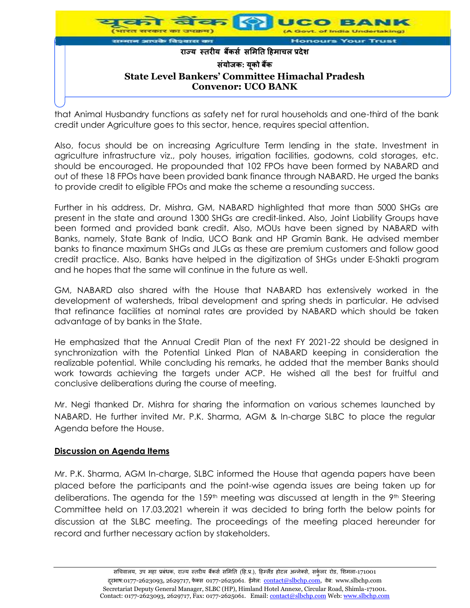

that Animal Husbandry functions as safety net for rural households and one-third of the bank credit under Agriculture goes to this sector, hence, requires special attention.

Also, focus should be on increasing Agriculture Term lending in the state. Investment in agriculture infrastructure viz., poly houses, irrigation facilities, godowns, cold storages, etc. should be encouraged. He propounded that 102 FPOs have been formed by NABARD and out of these 18 FPOs have been provided bank finance through NABARD. He urged the banks to provide credit to eligible FPOs and make the scheme a resounding success.

Further in his address, Dr. Mishra, GM, NABARD highlighted that more than 5000 SHGs are present in the state and around 1300 SHGs are credit-linked. Also, Joint Liability Groups have been formed and provided bank credit. Also, MOUs have been signed by NABARD with Banks, namely, State Bank of India, UCO Bank and HP Gramin Bank. He advised member banks to finance maximum SHGs and JLGs as these are premium customers and follow good credit practice. Also, Banks have helped in the digitization of SHGs under E-Shakti program and he hopes that the same will continue in the future as well.

GM, NABARD also shared with the House that NABARD has extensively worked in the development of watersheds, tribal development and spring sheds in particular. He advised that refinance facilities at nominal rates are provided by NABARD which should be taken advantage of by banks in the State.

He emphasized that the Annual Credit Plan of the next FY 2021-22 should be designed in synchronization with the Potential Linked Plan of NABARD keeping in consideration the realizable potential. While concluding his remarks, he added that the member Banks should work towards achieving the targets under ACP. He wished all the best for fruitful and conclusive deliberations during the course of meeting.

Mr. Negi thanked Dr. Mishra for sharing the information on various schemes launched by NABARD. He further invited Mr. P.K. Sharma, AGM & In-charge SLBC to place the regular Agenda before the House.

### **Discussion on Agenda Items**

Mr. P.K. Sharma, AGM In-charge, SLBC informed the House that agenda papers have been placed before the participants and the point-wise agenda issues are being taken up for deliberations. The agenda for the 159<sup>th</sup> meeting was discussed at length in the 9<sup>th</sup> Steering Committee held on 17.03.2021 wherein it was decided to bring forth the below points for discussion at the SLBC meeting. The proceedings of the meeting placed hereunder for record and further necessary action by stakeholders.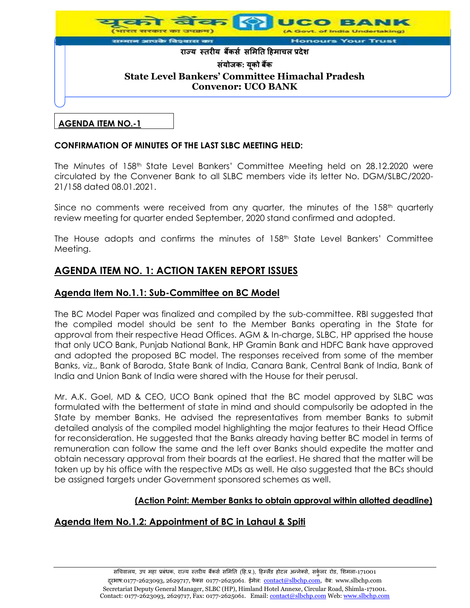

### **AGENDA ITEM NO.-1**

### **CONFIRMATION OF MINUTES OF THE LAST SLBC MEETING HELD:**

The Minutes of 158th State Level Bankers' Committee Meeting held on 28.12.2020 were circulated by the Convener Bank to all SLBC members vide its letter No. DGM/SLBC/2020- 21/158 dated 08.01.2021.

Since no comments were received from any quarter, the minutes of the  $158<sup>th</sup>$  quarterly review meeting for quarter ended September, 2020 stand confirmed and adopted.

The House adopts and confirms the minutes of 158<sup>th</sup> State Level Bankers' Committee Meeting.

# **AGENDA ITEM NO. 1: ACTION TAKEN REPORT ISSUES**

## **Agenda Item No.1.1: Sub-Committee on BC Model**

The BC Model Paper was finalized and compiled by the sub-committee. RBI suggested that the compiled model should be sent to the Member Banks operating in the State for approval from their respective Head Offices. AGM & In-charge, SLBC, HP apprised the house that only UCO Bank, Punjab National Bank, HP Gramin Bank and HDFC Bank have approved and adopted the proposed BC model. The responses received from some of the member Banks, viz., Bank of Baroda, State Bank of India, Canara Bank, Central Bank of India, Bank of India and Union Bank of India were shared with the House for their perusal.

Mr. A.K. Goel, MD & CEO, UCO Bank opined that the BC model approved by SLBC was formulated with the betterment of state in mind and should compulsorily be adopted in the State by member Banks. He advised the representatives from member Banks to submit detailed analysis of the compiled model highlighting the major features to their Head Office for reconsideration. He suggested that the Banks already having better BC model in terms of remuneration can follow the same and the left over Banks should expedite the matter and obtain necessary approval from their boards at the earliest. He shared that the matter will be taken up by his office with the respective MDs as well. He also suggested that the BCs should be assigned targets under Government sponsored schemes as well.

### **(Action Point: Member Banks to obtain approval within allotted deadline)**

# **Agenda Item No.1.2: Appointment of BC in Lahaul & Spiti**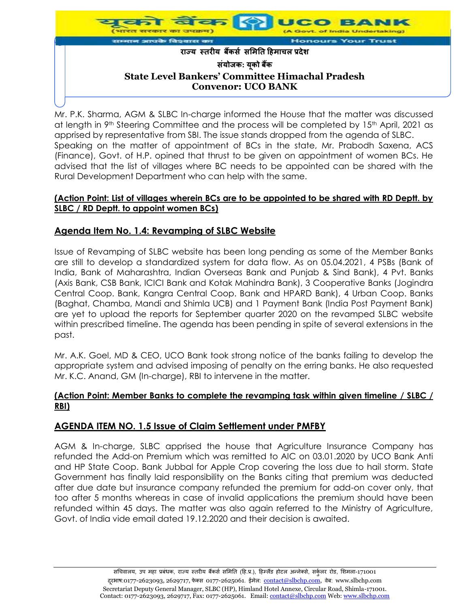

Mr. P.K. Sharma, AGM & SLBC In-charge informed the House that the matter was discussed at length in 9<sup>th</sup> Steering Committee and the process will be completed by 15<sup>th</sup> April, 2021 as apprised by representative from SBI. The issue stands dropped from the agenda of SLBC. Speaking on the matter of appointment of BCs in the state, Mr. Prabodh Saxena, ACS (Finance), Govt. of H.P. opined that thrust to be given on appointment of women BCs. He advised that the list of villages where BC needs to be appointed can be shared with the Rural Development Department who can help with the same.

### **(Action Point: List of villages wherein BCs are to be appointed to be shared with RD Deptt. by SLBC / RD Deptt. to appoint women BCs)**

# **Agenda Item No. 1.4: Revamping of SLBC Website**

Issue of Revamping of SLBC website has been long pending as some of the Member Banks are still to develop a standardized system for data flow. As on 05.04.2021, 4 PSBs (Bank of India, Bank of Maharashtra, Indian Overseas Bank and Punjab & Sind Bank), 4 Pvt. Banks (Axis Bank, CSB Bank, ICICI Bank and Kotak Mahindra Bank), 3 Cooperative Banks (Jogindra Central Coop. Bank, Kangra Central Coop. Bank and HPARD Bank), 4 Urban Coop. Banks (Baghat, Chamba, Mandi and Shimla UCB) and 1 Payment Bank (India Post Payment Bank) are yet to upload the reports for September quarter 2020 on the revamped SLBC website within prescribed timeline. The agenda has been pending in spite of several extensions in the past.

Mr. A.K. Goel, MD & CEO, UCO Bank took strong notice of the banks failing to develop the appropriate system and advised imposing of penalty on the erring banks. He also requested Mr. K.C. Anand, GM (In-charge), RBI to intervene in the matter.

### **(Action Point: Member Banks to complete the revamping task within given timeline / SLBC / RBI)**

# **AGENDA ITEM NO. 1.5 Issue of Claim Settlement under PMFBY**

AGM & In-charge, SLBC apprised the house that Agriculture Insurance Company has refunded the Add-on Premium which was remitted to AIC on 03.01.2020 by UCO Bank Anti and HP State Coop. Bank Jubbal for Apple Crop covering the loss due to hail storm. State Government has finally laid responsibility on the Banks citing that premium was deducted after due date but insurance company refunded the premium for add-on cover only, that too after 5 months whereas in case of invalid applications the premium should have been refunded within 45 days. The matter was also again referred to the Ministry of Agriculture, Govt. of India vide email dated 19.12.2020 and their decision is awaited.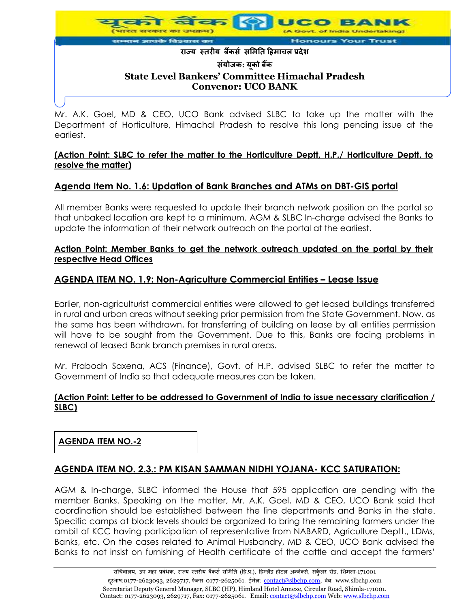

Mr. A.K. Goel, MD & CEO, UCO Bank advised SLBC to take up the matter with the Department of Horticulture, Himachal Pradesh to resolve this long pending issue at the earliest.

### **(Action Point: SLBC to refer the matter to the Horticulture Deptt, H.P./ Horticulture Deptt. to resolve the matter)**

# **Agenda Item No. 1.6: Updation of Bank Branches and ATMs on DBT-GIS portal**

All member Banks were requested to update their branch network position on the portal so that unbaked location are kept to a minimum. AGM & SLBC In-charge advised the Banks to update the information of their network outreach on the portal at the earliest.

### **Action Point: Member Banks to get the network outreach updated on the portal by their respective Head Offices**

# **AGENDA ITEM NO. 1.9: Non-Agriculture Commercial Entities – Lease Issue**

Earlier, non-agriculturist commercial entities were allowed to get leased buildings transferred in rural and urban areas without seeking prior permission from the State Government. Now, as the same has been withdrawn, for transferring of building on lease by all entities permission will have to be sought from the Government. Due to this, Banks are facing problems in renewal of leased Bank branch premises in rural areas.

Mr. Prabodh Saxena, ACS (Finance), Govt. of H.P. advised SLBC to refer the matter to Government of India so that adequate measures can be taken.

## **(Action Point: Letter to be addressed to Government of India to issue necessary clarification / SLBC)**

**AGENDA ITEM NO.-2**

# **AGENDA ITEM NO. 2.3.: PM KISAN SAMMAN NIDHI YOJANA- KCC SATURATION:**

AGM & In-charge, SLBC informed the House that 595 application are pending with the member Banks. Speaking on the matter, Mr. A.K. Goel, MD & CEO, UCO Bank said that coordination should be established between the line departments and Banks in the state. Specific camps at block levels should be organized to bring the remaining farmers under the ambit of KCC having participation of representative from NABARD, Agriculture Deptt., LDMs, Banks, etc. On the cases related to Animal Husbandry, MD & CEO, UCO Bank advised the Banks to not insist on furnishing of Health certificate of the cattle and accept the farmers'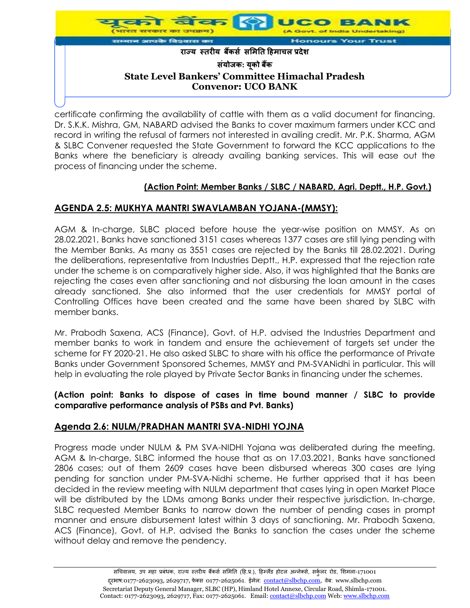

certificate confirming the availability of cattle with them as a valid document for financing. Dr. S.K.K. Mishra, GM, NABARD advised the Banks to cover maximum farmers under KCC and record in writing the refusal of farmers not interested in availing credit. Mr. P.K. Sharma, AGM & SLBC Convener requested the State Government to forward the KCC applications to the Banks where the beneficiary is already availing banking services. This will ease out the process of financing under the scheme.

## **(Action Point: Member Banks / SLBC / NABARD, Agri. Deptt., H.P. Govt.)**

# **AGENDA 2.5: MUKHYA MANTRI SWAVLAMBAN YOJANA-(MMSY):**

AGM & In-charge, SLBC placed before house the year-wise position on MMSY. As on 28.02.2021, Banks have sanctioned 3151 cases whereas 1377 cases are still lying pending with the Member Banks. As many as 3551 cases are rejected by the Banks till 28.02.2021. During the deliberations, representative from Industries Deptt., H.P. expressed that the rejection rate under the scheme is on comparatively higher side. Also, it was highlighted that the Banks are rejecting the cases even after sanctioning and not disbursing the loan amount in the cases already sanctioned. She also informed that the user credentials for MMSY portal of Controlling Offices have been created and the same have been shared by SLBC with member banks.

Mr. Prabodh Saxena, ACS (Finance), Govt. of H.P. advised the Industries Department and member banks to work in tandem and ensure the achievement of targets set under the scheme for FY 2020-21. He also asked SLBC to share with his office the performance of Private Banks under Government Sponsored Schemes, MMSY and PM-SVANidhi in particular. This will help in evaluating the role played by Private Sector Banks in financing under the schemes.

### **(Action point: Banks to dispose of cases in time bound manner / SLBC to provide comparative performance analysis of PSBs and Pvt. Banks)**

### **Agenda 2.6: NULM/PRADHAN MANTRI SVA-NIDHI YOJNA**

Progress made under NULM & PM SVA-NIDHI Yojana was deliberated during the meeting. AGM & In-charge, SLBC informed the house that as on 17.03.2021, Banks have sanctioned 2806 cases; out of them 2609 cases have been disbursed whereas 300 cases are lying pending for sanction under PM-SVA-Nidhi scheme. He further apprised that it has been decided in the review meeting with NULM department that cases lying in open Market Place will be distributed by the LDMs among Banks under their respective jurisdiction. In-charge, SLBC requested Member Banks to narrow down the number of pending cases in prompt manner and ensure disbursement latest within 3 days of sanctioning. Mr. Prabodh Saxena, ACS (Finance), Govt. of H.P. advised the Banks to sanction the cases under the scheme without delay and remove the pendency.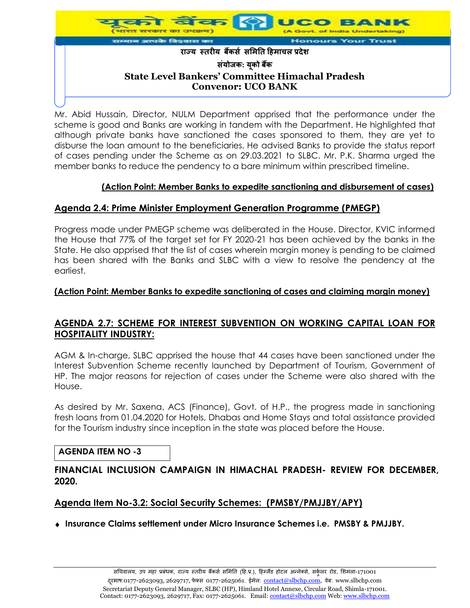

Mr. Abid Hussain, Director, NULM Department apprised that the performance under the scheme is good and Banks are working in tandem with the Department. He highlighted that although private banks have sanctioned the cases sponsored to them, they are yet to disburse the loan amount to the beneficiaries. He advised Banks to provide the status report of cases pending under the Scheme as on 29.03.2021 to SLBC. Mr. P.K. Sharma urged the member banks to reduce the pendency to a bare minimum within prescribed timeline.

# **(Action Point: Member Banks to expedite sanctioning and disbursement of cases)**

## **Agenda 2.4: Prime Minister Employment Generation Programme (PMEGP)**

Progress made under PMEGP scheme was deliberated in the House. Director, KVIC informed the House that 77% of the target set for FY 2020-21 has been achieved by the banks in the State. He also apprised that the list of cases wherein margin money is pending to be claimed has been shared with the Banks and SLBC with a view to resolve the pendency at the earliest.

### **(Action Point: Member Banks to expedite sanctioning of cases and claiming margin money)**

# **AGENDA 2.7: SCHEME FOR INTEREST SUBVENTION ON WORKING CAPITAL LOAN FOR HOSPITALITY INDUSTRY:**

AGM & In-charge, SLBC apprised the house that 44 cases have been sanctioned under the Interest Subvention Scheme recently launched by Department of Tourism, Government of HP. The major reasons for rejection of cases under the Scheme were also shared with the House.

As desired by Mr. Saxena, ACS (Finance), Govt. of H.P., the progress made in sanctioning fresh loans from 01.04.2020 for Hotels, Dhabas and Home Stays and total assistance provided for the Tourism industry since inception in the state was placed before the House.

### **AGENDA ITEM NO -3**

## **FINANCIAL INCLUSION CAMPAIGN IN HIMACHAL PRADESH- REVIEW FOR DECEMBER, 2020.**

### **Agenda Item No-3.2: Social Security Schemes: (PMSBY/PMJJBY/APY)**

**Insurance Claims settlement under Micro Insurance Schemes i.e. PMSBY & PMJJBY.**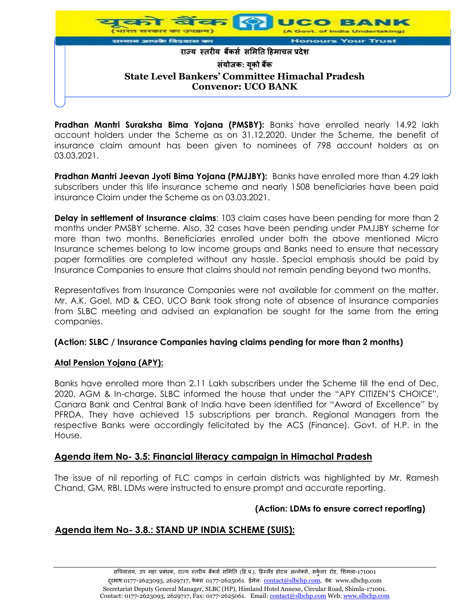

**Pradhan Mantri Suraksha Bima Yojana (PMSBY):** Banks have enrolled nearly 14.92 lakh account holders under the Scheme as on 31.12.2020. Under the Scheme, the benefit of insurance claim amount has been given to nominees of 798 account holders as on 03.03.2021.

**Pradhan Mantri Jeevan Jyoti Bima Yojana (PMJJBY):** Banks have enrolled more than 4.29 lakh subscribers under this life insurance scheme and nearly 1508 beneficiaries have been paid insurance Claim under the Scheme as on 03.03.2021.

**Delay in settlement of Insurance claims**: 103 claim cases have been pending for more than 2 months under PMSBY scheme. Also, 32 cases have been pending under PMJJBY scheme for more than two months. Beneficiaries enrolled under both the above mentioned Micro Insurance schemes belong to low income groups and Banks need to ensure that necessary paper formalities are completed without any hassle. Special emphasis should be paid by Insurance Companies to ensure that claims should not remain pending beyond two months.

Representatives from Insurance Companies were not available for comment on the matter. Mr. A.K. Goel, MD & CEO, UCO Bank took strong note of absence of Insurance companies from SLBC meeting and advised an explanation be sought for the same from the erring companies.

### **(Action: SLBC / Insurance Companies having claims pending for more than 2 months)**

### **Atal Pension Yojana (APY):**

Banks have enrolled more than 2.11 Lakh subscribers under the Scheme till the end of Dec, 2020. AGM & In-charge, SLBC informed the house that under the "APY CITIZEN'S CHOICE", Canara Bank and Central Bank of India have been identified for "Award of Excellence" by PFRDA. They have achieved 15 subscriptions per branch. Regional Managers from the respective Banks were accordingly felicitated by the ACS (Finance). Govt. of H.P. in the House.

### **Agenda item No- 3.5: Financial literacy campaign in Himachal Pradesh**

The issue of nil reporting of FLC camps in certain districts was highlighted by Mr. Ramesh Chand, GM, RBI. LDMs were instructed to ensure prompt and accurate reporting.

# **(Action: LDMs to ensure correct reporting)**

# **Agenda item No- 3.8.: STAND UP INDIA SCHEME (SUIS):**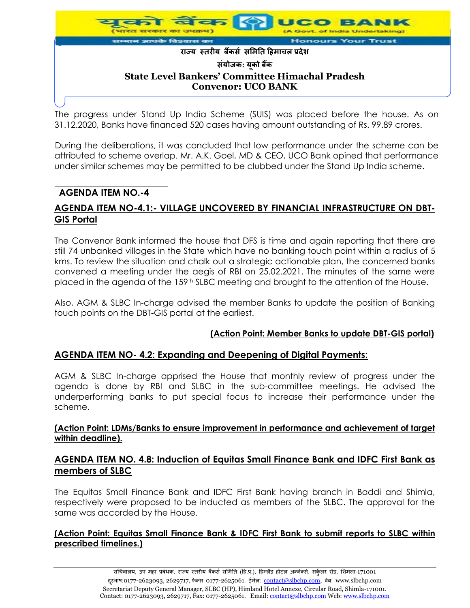

The progress under Stand Up India Scheme (SUIS) was placed before the house. As on 31.12.2020, Banks have financed 520 cases having amount outstanding of Rs. 99.89 crores.

During the deliberations, it was concluded that low performance under the scheme can be attributed to scheme overlap. Mr. A.K. Goel, MD & CEO, UCO Bank opined that performance under similar schemes may be permitted to be clubbed under the Stand Up India scheme.

# **AGENDA ITEM NO.-4**

# **AGENDA ITEM NO-4.1:- VILLAGE UNCOVERED BY FINANCIAL INFRASTRUCTURE ON DBT-GIS Portal**

The Convenor Bank informed the house that DFS is time and again reporting that there are still 74 unbanked villages in the State which have no banking touch point within a radius of 5 kms. To review the situation and chalk out a strategic actionable plan, the concerned banks convened a meeting under the aegis of RBI on 25.02.2021. The minutes of the same were placed in the agenda of the 159<sup>th</sup> SLBC meeting and brought to the attention of the House.

Also, AGM & SLBC In-charge advised the member Banks to update the position of Banking touch points on the DBT-GIS portal at the earliest.

### **(Action Point: Member Banks to update DBT-GIS portal)**

### **AGENDA ITEM NO- 4.2: Expanding and Deepening of Digital Payments:**

AGM & SLBC In-charge apprised the House that monthly review of progress under the agenda is done by RBI and SLBC in the sub-committee meetings. He advised the underperforming banks to put special focus to increase their performance under the scheme.

### **(Action Point: LDMs/Banks to ensure improvement in performance and achievement of target within deadline).**

## **AGENDA ITEM NO. 4.8: Induction of Equitas Small Finance Bank and IDFC First Bank as members of SLBC**

The Equitas Small Finance Bank and IDFC First Bank having branch in Baddi and Shimla, respectively were proposed to be inducted as members of the SLBC. The approval for the same was accorded by the House.

## **(Action Point: Equitas Small Finance Bank & IDFC First Bank to submit reports to SLBC within prescribed timelines.)**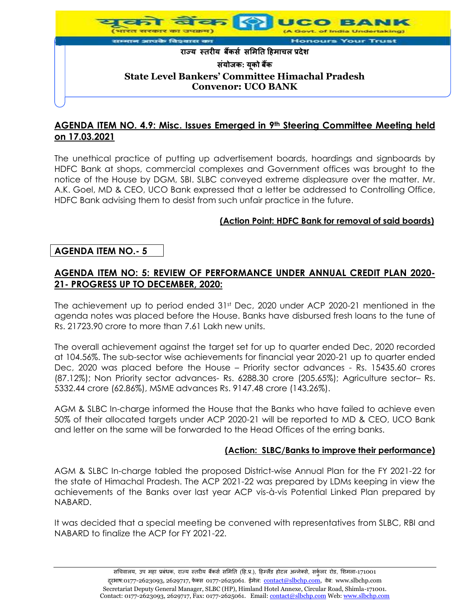

# **AGENDA ITEM NO. 4.9: Misc. Issues Emerged in 9th Steering Committee Meeting held on 17.03.2021**

The unethical practice of putting up advertisement boards, hoardings and signboards by HDFC Bank at shops, commercial complexes and Government offices was brought to the notice of the House by DGM, SBI. SLBC conveyed extreme displeasure over the matter. Mr. A.K. Goel, MD & CEO, UCO Bank expressed that a letter be addressed to Controlling Office, HDFC Bank advising them to desist from such unfair practice in the future.

## **(Action Point: HDFC Bank for removal of said boards)**

## **AGENDA ITEM NO.- 5**

# **AGENDA ITEM NO: 5: REVIEW OF PERFORMANCE UNDER ANNUAL CREDIT PLAN 2020- 21- PROGRESS UP TO DECEMBER, 2020:**

The achievement up to period ended 31st Dec, 2020 under ACP 2020-21 mentioned in the agenda notes was placed before the House. Banks have disbursed fresh loans to the tune of Rs. 21723.90 crore to more than 7.61 Lakh new units.

The overall achievement against the target set for up to quarter ended Dec, 2020 recorded at 104.56%. The sub-sector wise achievements for financial year 2020-21 up to quarter ended Dec, 2020 was placed before the House – Priority sector advances - Rs. 15435.60 crores (87.12%); Non Priority sector advances- Rs. 6288.30 crore (205.65%); Agriculture sector– Rs. 5332.44 crore (62.86%), MSME advances Rs. 9147.48 crore (143.26%).

AGM & SLBC In-charge informed the House that the Banks who have failed to achieve even 50% of their allocated targets under ACP 2020-21 will be reported to MD & CEO, UCO Bank and letter on the same will be forwarded to the Head Offices of the erring banks.

### **(Action: SLBC/Banks to improve their performance)**

AGM & SLBC In-charge tabled the proposed District-wise Annual Plan for the FY 2021-22 for the state of Himachal Pradesh. The ACP 2021-22 was prepared by LDMs keeping in view the achievements of the Banks over last year ACP vis-à-vis Potential Linked Plan prepared by NABARD.

It was decided that a special meeting be convened with representatives from SLBC, RBI and NABARD to finalize the ACP for FY 2021-22.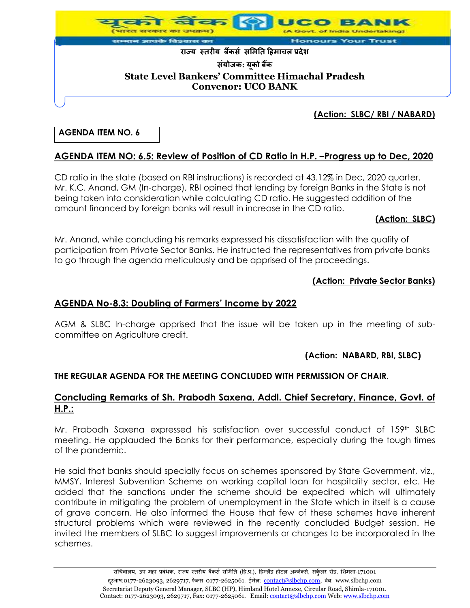

### **(Action: SLBC/ RBI / NABARD)**

## **AGENDA ITEM NO. 6**

# **AGENDA ITEM NO: 6.5: Review of Position of CD Ratio in H.P. –Progress up to Dec, 2020**

CD ratio in the state (based on RBI instructions) is recorded at 43.12% in Dec, 2020 quarter. Mr. K.C. Anand, GM (In-charge), RBI opined that lending by foreign Banks in the State is not being taken into consideration while calculating CD ratio. He suggested addition of the amount financed by foreign banks will result in increase in the CD ratio.

### **(Action: SLBC)**

Mr. Anand, while concluding his remarks expressed his dissatisfaction with the quality of participation from Private Sector Banks. He instructed the representatives from private banks to go through the agenda meticulously and be apprised of the proceedings.

### **(Action: Private Sector Banks)**

## **AGENDA No-8.3: Doubling of Farmers' Income by 2022**

AGM & SLBC In-charge apprised that the issue will be taken up in the meeting of subcommittee on Agriculture credit.

### **(Action: NABARD, RBI, SLBC)**

### **THE REGULAR AGENDA FOR THE MEETING CONCLUDED WITH PERMISSION OF CHAIR**.

### **Concluding Remarks of Sh. Prabodh Saxena, Addl. Chief Secretary, Finance, Govt. of H.P.:**

Mr. Prabodh Saxena expressed his satisfaction over successful conduct of 159th SLBC meeting. He applauded the Banks for their performance, especially during the tough times of the pandemic.

He said that banks should specially focus on schemes sponsored by State Government, viz., MMSY, Interest Subvention Scheme on working capital loan for hospitality sector, etc. He added that the sanctions under the scheme should be expedited which will ultimately contribute in mitigating the problem of unemployment in the State which in itself is a cause of grave concern. He also informed the House that few of these schemes have inherent structural problems which were reviewed in the recently concluded Budget session. He invited the members of SLBC to suggest improvements or changes to be incorporated in the schemes.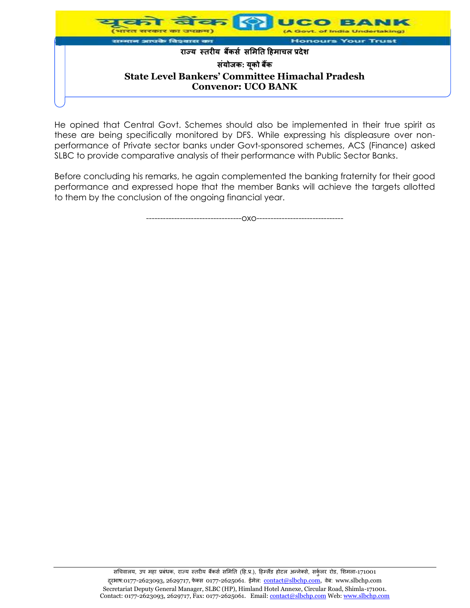

He opined that Central Govt. Schemes should also be implemented in their true spirit as these are being specifically monitored by DFS. While expressing his displeasure over nonperformance of Private sector banks under Govt-sponsored schemes, ACS (Finance) asked SLBC to provide comparative analysis of their performance with Public Sector Banks.

Before concluding his remarks, he again complemented the banking fraternity for their good performance and expressed hope that the member Banks will achieve the targets allotted to them by the conclusion of the ongoing financial year.

----------------------------------oxo-------------------------------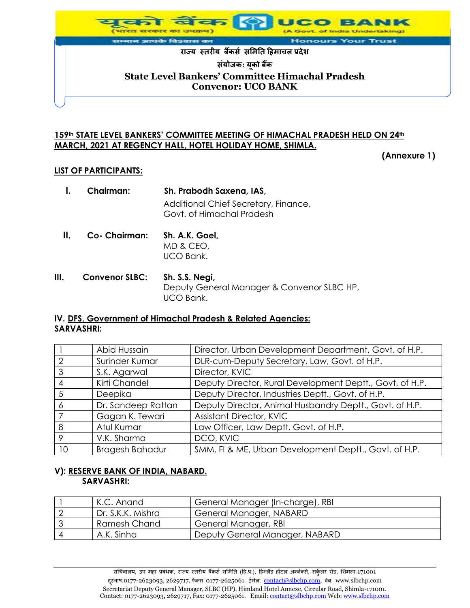

### **159th STATE LEVEL BANKERS' COMMITTEE MEETING OF HIMACHAL PRADESH HELD ON 24th MARCH, 2021 AT REGENCY HALL, HOTEL HOLIDAY HOME, SHIMLA.**

**(Annexure 1)**

### **LIST OF PARTICIPANTS:**

|    | Chairman:     | Sh. Prabodh Saxena, IAS,<br>Additional Chief Secretary, Finance,<br>Govt. of Himachal Pradesh |
|----|---------------|-----------------------------------------------------------------------------------------------|
| Н. | Co- Chairman: | Sh. A.K. Goel,<br>MD & CEO,<br>UCO Bank.                                                      |

**III. Convenor SLBC: Sh. S.S. Negi,** Deputy General Manager & Convenor SLBC HP, UCO Bank.

### **IV. DFS, Government of Himachal Pradesh & Related Agencies: SARVASHRI:**

|                | Abid Hussain           | Director, Urban Development Department, Govt. of H.P.    |
|----------------|------------------------|----------------------------------------------------------|
| $\overline{2}$ | Surinder Kumar         | DLR-cum-Deputy Secretary, Law, Govt. of H.P.             |
| 3              | S.K. Agarwal           | Director, KVIC                                           |
| $\overline{4}$ | Kirti Chandel          | Deputy Director, Rural Development Deptt., Govt. of H.P. |
| 5              | Deepika                | Deputy Director, Industries Deptt., Govt. of H.P.        |
| 6              | Dr. Sandeep Rattan     | Deputy Director, Animal Husbandry Deptt., Govt. of H.P.  |
|                | Gagan K. Tewari        | <b>Assistant Director, KVIC</b>                          |
| 8              | Atul Kumar             | Law Officer, Law Deptt. Govt. of H.P.                    |
| 9              | V.K. Sharma            | DCO, KVIC                                                |
| 10             | <b>Bragesh Bahadur</b> | SMM, FI & ME, Urban Development Deptt., Govt. of H.P.    |

### **V): RESERVE BANK OF INDIA, NABARD. SARVASHRI:**

| K.C. Anand        | General Manager (In-charge), RBI |
|-------------------|----------------------------------|
| Dr. S.K.K. Mishra | General Manager, NABARD          |
| Ramesh Chand      | General Manager, RBI             |
| A.K. Sinha        | Deputy General Manager, NABARD   |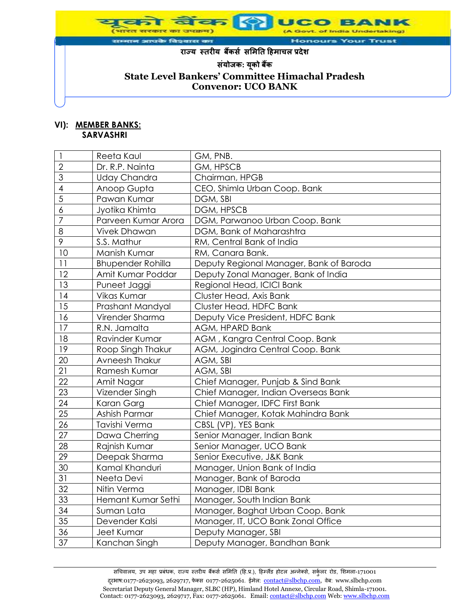

#### **VI): MEMBER BANKS: SARVASHRI**

|                | Reeta Kaul               | GM, PNB.                                |
|----------------|--------------------------|-----------------------------------------|
| $\overline{2}$ | Dr. R.P. Nainta          | GM, HPSCB                               |
| 3              | <b>Uday Chandra</b>      | Chairman, HPGB                          |
| 4              | Anoop Gupta              | CEO, Shimla Urban Coop. Bank            |
| $\overline{5}$ | Pawan Kumar              | DGM, SBI                                |
| 6              | Jyotika Khimta           | DGM, HPSCB                              |
| $\overline{7}$ | Parveen Kumar Arora      | DGM, Parwanoo Urban Coop. Bank          |
| 8              | <b>Vivek Dhawan</b>      | DGM, Bank of Maharashtra                |
| 9              | S.S. Mathur              | RM, Central Bank of India               |
| 10             | Manish Kumar             | RM, Canara Bank.                        |
| 11             | <b>Bhupender Rohilla</b> | Deputy Regional Manager, Bank of Baroda |
| 12             | Amit Kumar Poddar        | Deputy Zonal Manager, Bank of India     |
| 13             | Puneet Jaggi             | Regional Head, ICICI Bank               |
| 14             | Vikas Kumar              | Cluster Head, Axis Bank                 |
| 15             | Prashant Mandyal         | Cluster Head, HDFC Bank                 |
| 16             | Virender Sharma          | Deputy Vice President, HDFC Bank        |
| 17             | R.N. Jamalta             | AGM, HPARD Bank                         |
| 18             | Ravinder Kumar           | AGM, Kangra Central Coop. Bank          |
| 19             | Roop Singh Thakur        | AGM, Jogindra Central Coop. Bank        |
| 20             | Avneesh Thakur           | AGM, SBI                                |
| 21             | Ramesh Kumar             | AGM, SBI                                |
| 22             | Amit Nagar               | Chief Manager, Punjab & Sind Bank       |
| 23             | Vizender Singh           | Chief Manager, Indian Overseas Bank     |
| 24             | Karan Garg               | Chief Manager, IDFC First Bank          |
| 25             | Ashish Parmar            | Chief Manager, Kotak Mahindra Bank      |
| 26             | Tavishi Verma            | CBSL (VP), YES Bank                     |
| 27             | Dawa Cherring            | Senior Manager, Indian Bank             |
| 28             | Rajnish Kumar            | Senior Manager, UCO Bank                |
| 29             | Deepak Sharma            | Senior Executive, J&K Bank              |
| 30             | Kamal Khanduri           | Manager, Union Bank of India            |
| 31             | Neeta Devi               | Manager, Bank of Baroda                 |
| 32             | Nitin Verma              | Manager, IDBI Bank                      |
| 33             | Hemant Kumar Sethi       | Manager, South Indian Bank              |
| 34             | Suman Lata               | Manager, Baghat Urban Coop. Bank        |
| 35             | Devender Kalsi           | Manager, IT, UCO Bank Zonal Office      |
| 36             | Jeet Kumar               | Deputy Manager, SBI                     |
| 37             | Kanchan Singh            | Deputy Manager, Bandhan Bank            |